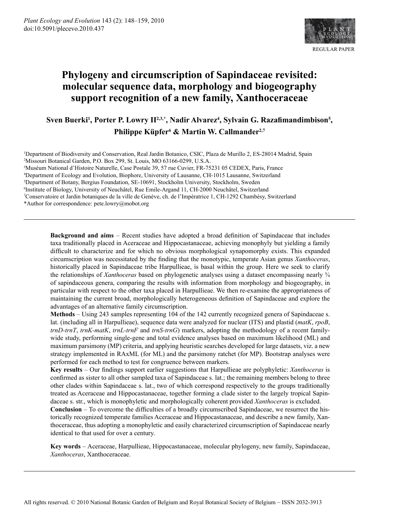

# Phylogeny and circumscription of Sapindaceae revisited: molecular sequence data, morphology and biogeography support recognition of a new family, Xanthoceraceae

Sven Buerki<sup>1</sup>, Porter P. Lowry II<sup>2,3,\*</sup>, Nadir Alvarez<sup>4</sup>, Sylvain G. Razafimandimbison<sup>5</sup>, Philippe Küpfer<sup>6</sup> & Martin W. Callmander<sup>2,7</sup>

<sup>1</sup>Department of Biodiversity and Conservation, Real Jardin Botanico, CSIC, Plaza de Murillo 2, ES-28014 Madrid, Spain <sup>2</sup>Missouri Botanical Garden, P.O. Box 299, St. Louis, MO 63166-0299, U.S.A.

<sup>3</sup>Muséum National d'Histoire Naturelle, Case Postale 39, 57 rue Cuvier, FR-75231 05 CEDEX, Paris, France <sup>4</sup>Department of Ecology and Evolution, Biophore, University of Lausanne, CH-1015 Lausanne, Switzerland

<sup>5</sup>Department of Botany, Bergius Foundation, SE-10691, Stockholm University, Stockholm, Sweden

<sup>6</sup>Institute of Biology, University of Neuchâtel, Rue Emile-Argand 11, CH-2000 Neuchâtel, Switzerland

7Conservatoire et Jardin botaniques de la ville de Genève, ch. de l'Impératrice 1, CH-1292 Chambésy, Switzerland

\*Author for correspondence: pete.lowry@mobot.org

Background and aims – Recent studies have adopted a broad definition of Sapindaceae that includes taxa traditionally placed in Aceraceae and Hippocastanaceae, achieving monophyly but yielding a family difficult to characterize and for which no obvious morphological synapomorphy exists. This expanded circumscription was necessitated by the finding that the monotypic, temperate Asian genus *Xanthoceras*, historically placed in Sapindaceae tribe Harpullieae, is basal within the group. Here we seek to clarify the relationships of Xanthoceras based on phylogenetic analyses using a dataset encompassing nearly  $\frac{3}{4}$ of sapindaceous genera, comparing the results with information from morphology and biogeography, in particular with respect to the other taxa placed in Harpullieae. We then re-examine the appropriateness of maintaining the current broad, morphologically heterogeneous definition of Sapindaceae and explore the advantages of an alternative family circumscription.

Methods – Using 243 samples representing 104 of the 142 currently recognized genera of Sapindaceae s. lat. (including all in Harpullieae), sequence data were analyzed for nuclear  $(ITS)$  and plastid (matK, rpoB,  $trnD-trnT$ ,  $trnK-matK$ ,  $trnL-trnF$  and  $trnS-trnG$ ) markers, adopting the methodology of a recent familywide study, performing single-gene and total evidence analyses based on maximum likelihood (ML) and maximum parsimony (MP) criteria, and applying heuristic searches developed for large datasets, viz. a new strategy implemented in RAxML (for ML) and the parsimony ratchet (for MP). Bootstrap analyses were performed for each method to test for congruence between markers.

Key results – Our findings support earlier suggestions that Harpullieae are polyphyletic: Xanthoceras is confirmed as sister to all other sampled taxa of Sapindaceae s. lat.; the remaining members belong to three other clades within Sapindaceae s. lat., two of which correspond respectively to the groups traditionally treated as Aceraceae and Hippocastanaceae, together forming a clade sister to the largely tropical Sapindaceae s. str., which is monophyletic and morphologically coherent provided Xanthoceras is excluded.

**Conclusion** – To overcome the difficulties of a broadly circumscribed Sapindaceae, we resurrect the historically recognized temperate families Aceraceae and Hippocastanaceae, and describe a new family, Xanthoceraceae, thus adopting a monophyletic and easily characterized circumscription of Sapindaceae nearly identical to that used for over a century.

Key words - Aceraceae, Harpullieae, Hippocastanaceae, molecular phylogeny, new family, Sapindaceae, Xanthoceras, Xanthoceraceae.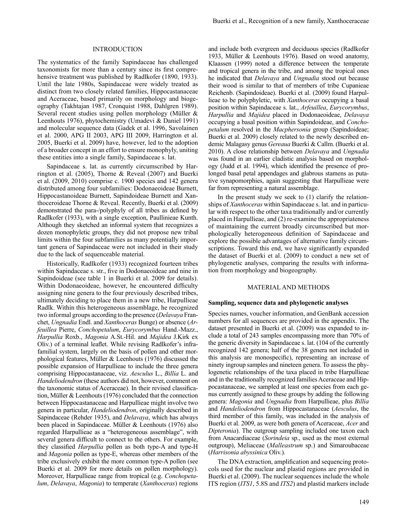#### **INTRODUCTION**

The systematics of the family Sapindaceae has challenged taxonomists for more than a century since its first comprehensive treatment was published by Radlkofer (1890, 1933). Until the late 1980s, Sapindaceae were widely treated as distinct from two closely related families, Hippocastanaceae and Aceraceae, based primarily on morphology and biogeography (Takhtajan 1987, Cronquist 1988, Dahlgren 1989). Several recent studies using pollen morphology (Müller & Leenhouts 1976), phytochemistry (Umadevi & Daniel 1991) and molecular sequence data (Gadek et al. 1996, Savolainen et al. 2000, APG II 2003, APG III 2009, Harrington et al. 2005, Buerki et al. 2009) have, however, led to the adoption of a broader concept in an effort to ensure monophyly, uniting these entities into a single family, Sapindaceae s. lat.

Sapindaceae s. lat. as currently circumscribed by Harrington et al. (2005), Thorne & Reveal (2007) and Buerki et al.  $(2009, 2010)$  comprise c. 1900 species and 142 genera distributed among four subfamilies: Dodonaeoideae Burnett, Hippocastanoideae Burnett, Sapindoideae Burnett and Xanthoceroideae Thorne & Reveal. Recently, Buerki et al. (2009) demonstrated the para-/polyphyly of all tribes as defined by Radlkofer (1933), with a single exception, Paullinieae Kunth. Although they sketched an informal system that recognizes a dozen monophyletic groups, they did not propose new tribal limits within the four subfamilies as many potentially important genera of Sapindaceae were not included in their study due to the lack of sequenceable material.

Historically, Radlkofer (1933) recognized fourteen tribes within Sapindaceae s. str., five in Dodonaeoideae and nine in Sapindoideae (see table 1 in Buerki et al. 2009 for details). Within Dodonaeoideae, however, he encountered difficulty assigning nine genera to the four previously described tribes, ultimately deciding to place them in a new tribe, Harpullieae Radlk. Within this heterogeneous assemblage, he recognized two informal groups according to the presence (Delavaya Franchet, Ungnadia Endl. and Xanthoceras Bunge) or absence (Arfeuillea Pierre, Conchopetalum, Eurycorymbus Hand.-Mazz., Harpullia Roxb., Magonia A.St.-Hil. and Majidea J.Kirk ex Oliv.) of a terminal leaflet. While revising Radlkofer's infrafamilial system, largely on the basis of pollen and other morphological features, Müller & Leenhouts (1976) discussed the possible expansion of Harpullieae to include the three general comprising Hippocastanaceae, viz. Aesculus L., Billia L. and Handeliodendron (these authors did not, however, comment on the taxonomic status of Aceraceae). In their revised classification, Müller & Leenhouts (1976) concluded that the connection between Hippocastanaceae and Harpullieae might involve two genera in particular, *Handeliodendron*, originally described in Sapindaceae (Rehder 1935), and *Delavaya*, which has always been placed in Sapindaceae. Müller & Leenhouts (1976) also regarded Harpullieae as a "heterogeneous assemblage", with several genera difficult to connect to the others. For example, they classified *Harpullia* pollen as both type-A and type-H and Magonia pollen as type-E, whereas other members of the tribe exclusively exhibit the more common type-A pollen (see Buerki et al. 2009 for more details on pollen morphology). Moreover, Harpullieae range from tropical (e.g. Conchopetalum, Delavaya, Magonia) to temperate (Xanthoceras) regions and include both evergreen and deciduous species (Radlkofer 1933, Müller & Leenhouts 1976). Based on wood anatomy, Klaassen (1999) noted a difference between the temperate and tropical genera in the tribe, and among the tropical ones he indicated that Delavaya and Ungnadia stood out because their wood is similar to that of members of tribe Cupanieae Reichenb. (Sapindoideae). Buerki et al. (2009) found Harpullieae to be polyphyletic, with *Xanthoceras* occupying a basal position within Sapindaceae s. lat., Arfeuillea, Eurycorymbus, Harpullia and Majidea placed in Dodonaeoideae, Delavaya occupying a basal position within Sapindoideae, and *Conchopetalum* resolved in the *Macphersonia* group (Sapindoideae; Buerki et al. 2009) closely related to the newly described endemic Malagasy genus Gereaua Buerki & Callm. (Buerki et al. 2010). A close relationship between *Delavaya* and *Ungnadia* was found in an earlier cladistic analysis based on morphology (Judd et al. 1994), which identified the presence of prolonged basal petal appendages and glabrous stamens as putative synapomorphies, again suggesting that Harpullieae were far from representing a natural assemblage.

In the present study we seek to  $(1)$  clarify the relationships of *Xanthoceras* within Sapindaceae s. lat. and in particular with respect to the other taxa traditionally and/or currently placed in Harpullieae, and (2) re-examine the appropriateness of maintaining the current broadly circumscribed but morphologically heterogeneous definition of Sapindaceae and explore the possible advantages of alternative family circumscriptions. Toward this end, we have significantly expanded the dataset of Buerki et al. (2009) to conduct a new set of phylogenetic analyses, comparing the results with information from morphology and biogeography.

## MATERIAL AND METHODS

## Sampling, sequence data and phylogenetic analyses

Species names, voucher information, and GenBank accession numbers for all sequences are provided in the appendix. The dataset presented in Buerki et al. (2009) was expanded to include a total of 243 samples encompassing more than 70% of the generic diversity in Sapindaceae s. lat. (104 of the currently recognized 142 genera; half of the 38 genera not included in this analysis are monospecific), representing an increase of ninety ingroup samples and nineteen genera. To assess the phylogenetic relationships of the taxa placed in tribe Harpullieae and in the traditionally recognized families Aceraceae and Hippocastanaceae, we sampled at least one species from each genus currently assigned to these groups by adding the following genera: Magonia and Ungnadia from Harpullieae, plus Billia and Handeliodendron from Hippocastanaceae (Aesculus, the third member of this family, was included in the analysis of Buerki et al. 2009, as were both genera of Aceraceae, *Acer* and *Dipteronia*). The outgroup sampling included one taxon each from Anacardiaceae (Sorindeia sp., used as the most external outgroup), Meliaceae (Malleastrum sp.) and Simaroubaceae (Harrisonia abyssinica Oliv.).

The DNA extraction, amplification and sequencing protocols used for the nuclear and plastid regions are provided in Buerki et al. (2009). The nuclear sequences include the whole ITS region (*ITS1*, 5.8S and *ITS2*) and plastid markers include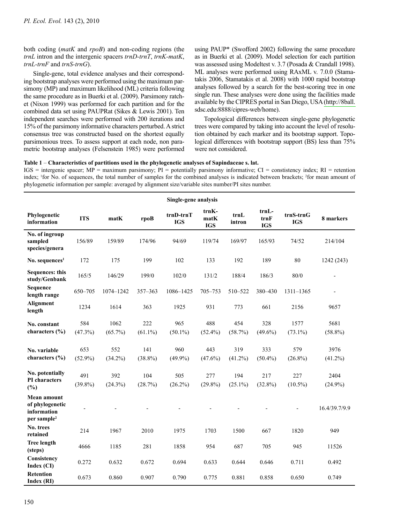both coding (*matK* and *rpoB*) and non-coding regions (the trnL intron and the intergenic spacers trnD-trnT, trnK-matK,  $trnL-trnF$  and  $trnS-trnG$ ).

Single-gene, total evidence analyses and their corresponding bootstrap analyses were performed using the maximum parsimony (MP) and maximum likelihood (ML) criteria following the same procedure as in Buerki et al. (2009). Parsimony ratchet (Nixon 1999) was performed for each partition and for the combined data set using PAUPRat (Sikes & Lewis 2001). Ten independent searches were performed with 200 iterations and 15% of the parsimony informative characters perturbed. A strict consensus tree was constructed based on the shortest equally parsimonious trees. To assess support at each node, non parametric bootstrap analyses (Felsenstein 1985) were performed using PAUP<sup>\*</sup> (Swofford 2002) following the same procedure as in Buerki et al. (2009). Model selection for each partition was assessed using Modeltest v. 3.7 (Posada & Crandall 1998). ML analyses were performed using RAxML v. 7.0.0 (Stamatakis 2006, Stamatakis et al. 2008) with 1000 rapid bootstrap analyses followed by a search for the best-scoring tree in one single run. These analyses were done using the facilities made available by the CIPRES portal in San Diego, USA (http://8ball. sdsc.edu:8888/cipres-web/home).

Topological differences between single-gene phylogenetic trees were compared by taking into account the level of resolution obtained by each marker and its bootstrap support. Topological differences with bootstrap support (BS) less than 75% were not considered.

# Table 1 – Characteristics of partitions used in the phylogenetic analyses of Sapindaceae s. lat.

 $IGS$  = intergenic spacer; MP = maximum parsimony; PI = potentially parsimony informative; CI = constistency index; RI = retention index; <sup>1</sup>for No. of sequences, the total number of samples for the combined analyses is indicated between brackets; <sup>2</sup>for mean amount of phylogenetic information per sample: averaged by alignment size/variable sites number/PI sites number.

| Single-gene analysis                                                            |                   |                    |                   |                           |                             |                   |                             |                           |                          |  |
|---------------------------------------------------------------------------------|-------------------|--------------------|-------------------|---------------------------|-----------------------------|-------------------|-----------------------------|---------------------------|--------------------------|--|
| Phylogenetic<br>information                                                     | <b>ITS</b>        | matK               | rpoB              | $trnD-trnT$<br><b>IGS</b> | trnK-<br>matK<br><b>IGS</b> | trnL<br>intron    | trnL-<br>trnF<br><b>IGS</b> | $trnS-trnG$<br><b>IGS</b> | 8 markers                |  |
| No. of ingroup<br>sampled<br>species/genera                                     | 156/89            | 159/89             | 174/96            | 94/69                     | 119/74                      | 169/97            | 165/93                      | 74/52                     | 214/104                  |  |
| No. sequences $1$                                                               | 172               | 175                | 199               | 102                       | 133                         | 192               | 189                         | 80                        | 1242 (243)               |  |
| <b>Sequences: this</b><br>study/Genbank                                         | 165/5             | 146/29             | 199/0             | 102/0                     | 131/2                       | 188/4             | 186/3                       | 80/0                      | $\overline{\phantom{a}}$ |  |
| Sequence<br>length range                                                        | 650-705           | 1074-1242          | $357 - 363$       | 1086-1425                 | 705-753                     | 510-522           | 380-430                     | $1311 - 1365$             | L,                       |  |
| Alignment<br>length                                                             | 1234              | 1614               | 363               | 1925                      | 931                         | 773               | 661                         | 2156                      | 9657                     |  |
| No. constant<br>characters $(\% )$                                              | 584<br>$(47.3\%)$ | 1062<br>$(65.7\%)$ | 222<br>$(61.1\%)$ | 965<br>$(50.1\%)$         | 488<br>$(52.4\%)$           | 454<br>$(58.7\%)$ | 328<br>$(49.6\%)$           | 1577<br>$(73.1\%)$        | 5681<br>$(58.8\%)$       |  |
| No. variable<br>characters $(\% )$                                              | 653<br>$(52.9\%)$ | 552<br>$(34.2\%)$  | 141<br>$(38.8\%)$ | 960<br>$(49.9\%)$         | 443<br>$(47.6\%)$           | 319<br>$(41.2\%)$ | 333<br>$(50.4\%)$           | 579<br>$(26.8\%)$         | 3976<br>$(41.2\%)$       |  |
| No. potentially<br><b>PI</b> characters<br>(%)                                  | 491<br>$(39.8\%)$ | 392<br>$(24.3\%)$  | 104<br>(28.7%)    | 505<br>$(26.2\%)$         | 277<br>$(29.8\%)$           | 194<br>$(25.1\%)$ | 217<br>$(32.8\%)$           | 227<br>$(10.5\%)$         | 2404<br>$(24.9\%)$       |  |
| <b>Mean amount</b><br>of phylogenetic<br>information<br>per sample <sup>2</sup> |                   |                    |                   |                           |                             |                   |                             |                           | 16.4/39.7/9.9            |  |
| No. trees<br>retained                                                           | 214               | 1967               | 2010              | 1975                      | 1703                        | 1500              | 667                         | 1820                      | 949                      |  |
| <b>Tree length</b><br>(steps)                                                   | 4666              | 1185               | 281               | 1858                      | 954                         | 687               | 705                         | 945                       | 11526                    |  |
| Consistency<br>Index (CI)                                                       | 0.272             | 0.632              | 0.672             | 0.694                     | 0.633                       | 0.644             | 0.646                       | 0.711                     | 0.492                    |  |
| <b>Retention</b><br>Index (RI)                                                  | 0.673             | 0.860              | 0.907             | 0.790                     | 0.775                       | 0.881             | 0.858                       | 0.650                     | 0.749                    |  |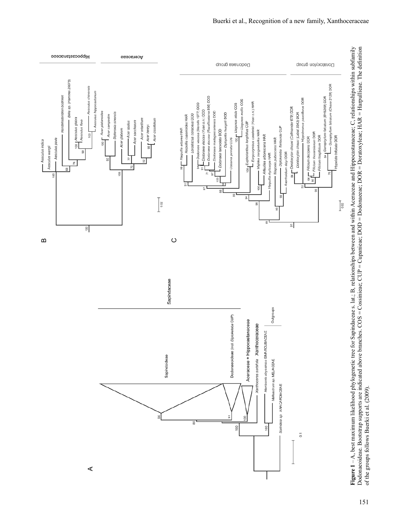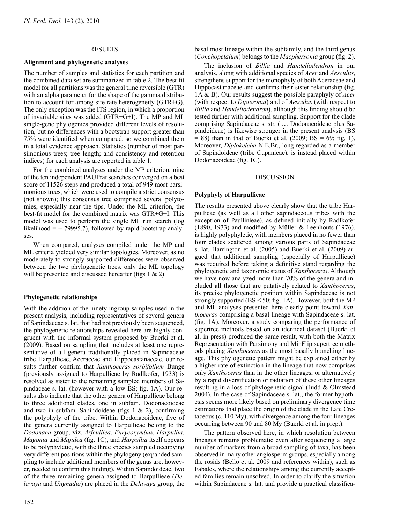#### **RESULTS**

## Alignment and phylogenetic analyses

The number of samples and statistics for each partition and the combined data set are summarized in table 2. The best-fit model for all partitions was the general time reversible (GTR) with an alpha parameter for the shape of the gamma distribution to account for among-site rate heterogeneity (GTR+G). The only exception was the ITS region, in which a proportion of invariable sites was added (GTR+G+I). The MP and ML single-gene phylogenies provided different levels of resolution, but no differences with a bootstrap support greater than 75% were identified when compared, so we combined them in a total evidence approach. Statistics (number of most parsimonious trees; tree length; and consistency and retention indices) for each analysis are reported in table 1.

For the combined analyses under the MP criterion, nine of the ten independent PAUPrat searches converged on a best score of 11526 steps and produced a total of 949 most parsimonious trees, which were used to compile a strict consensus (not shown); this consensus tree comprised several polytomies, especially near the tips. Under the ML criterion, the best-fit model for the combined matrix was GTR+G+I. This model was used to perform the single ML run search (log likelihood =  $-79995.7$ , followed by rapid bootstrap analyses

When compared, analyses compiled under the MP and ML criteria vielded very similar topologies. Moreover, as no moderately to strongly supported differences were observed between the two phylogenetic trees, only the ML topology will be presented and discussed hereafter (figs  $1 \& 2$ ).

## **Phylogenetic relationships**

With the addition of the ninety ingroup samples used in the present analysis, including representatives of several general of Sapindaceae s. lat. that had not previously been sequenced, the phylogenetic relationships revealed here are highly congruent with the informal system proposed by Buerki et al. (2009). Based on sampling that includes at least one representative of all genera traditionally placed in Sapindaceae tribe Harpullieae, Aceraceae and Hippocastanaceae, our results further confirm that Xanthoceras sorbifolium Bunge (previously assigned to Harpullieae by Radlkofer, 1933) is resolved as sister to the remaining sampled members of Sapindaceae s. lat. (however with a low BS; fig. 1A). Our results also indicate that the other genera of Harpullieae belong to three additional clades, one in subfam. Dodonaeoideae and two in subfam. Sapindoideae (figs  $1 \& 2$ ), confirming the polyphyly of the tribe. Within Dodonaeoideae, five of the genera currently assigned to Harpullieae belong to the Dodonaea group, viz. Arfeuillea, Eurycorymbus, Harpullia, Magonia and Majidea (fig. 1C), and Harpullia itself appears to be polyphyletic, with the three species sampled occupying very different positions within the phylogeny (expanded sampling to include additional members of the genus are, however, needed to confirm this finding). Within Sapindoideae, two of the three remaining genera assigned to Harpullieae (De*lavaya* and *Ungnadia*) are placed in the *Delavaya* group, the

basal most lineage within the subfamily, and the third genus *(Conchopetalum)* belongs to the *Macphersonia* group (fig. 2).

The inclusion of *Billia* and *Handeliodendron* in our analysis, along with additional species of Acer and Aesculus, strengthens support for the monophyly of both Aceraceae and Hippocastanaceae and confirms their sister relationship (fig. 1A & B). Our results suggest the possible paraphyly of *Acer* (with respect to *Dipteronia*) and of *Aesculus* (with respect to Billia and Handeliodendron), although this finding should be tested further with additional sampling. Support for the clade comprising Sapindaceae s. str. (i.e. Dodonaeoideae plus Sapindoideae) is likewise stronger in the present analysis (BS  $= 88$ ) than in that of Buerki et al. (2009; BS  $= 69$ ; fig. 1). Moreover, Diplokeleba N.E.Br., long regarded as a member of Sapindoideae (tribe Cupanieae), is instead placed within Dodonaeoideae (fig. 1C).

#### **DISCUSSION**

#### **Polyphyly of Harpullieae**

The results presented above clearly show that the tribe Harpullieae (as well as all other sapindaceous tribes with the exception of Paullinieae), as defined initially by Radlkofer (1890, 1933) and modified by Müller & Leenhouts (1976), is highly polyphyletic, with members placed in no fewer than four clades scattered among various parts of Sapindaceae s. lat. Harrington et al. (2005) and Buerki et al. (2009) argued that additional sampling (especially of Harpullieae) was required before taking a definitive stand regarding the phylogenetic and taxonomic status of Xanthoceras. Although we have now analyzed more than 70% of the genera and included all those that are putatively related to *Xanthoceras*, its precise phylogenetic position within Sapindaceae is not strongly supported ( $BS < 50$ ; fig. 1A). However, both the MP and ML analyses presented here clearly point toward Xanthoceras comprising a basal lineage with Sapindaceae s. lat. (fig. 1A). Moreover, a study comparing the performance of supertree methods based on an identical dataset (Buerki et al. in press) produced the same result, with both the Matrix Representation with Parsimony and MinFlip supertree methods placing *Xanthoceras* as the most basally branching lineage. This phylogenetic pattern might be explained either by a higher rate of extinction in the lineage that now comprises only *Xanthoceras* than in the other lineages, or alternatively by a rapid diversification or radiation of these other lineages resulting in a loss of phylogenetic signal (Judd & Olmstead 2004). In the case of Sapindaceae s. lat., the former hypothesis seems more likely based on preliminary divergence time estimations that place the origin of the clade in the Late Cretaceous (c. 110 My), with divergence among the four lineages occurring between 90 and 80 My (Buerki et al. in prep.).

The pattern observed here, in which resolution between lineages remains problematic even after sequencing a large number of markers from a broad sampling of taxa, has been observed in many other angiosperm groups, especially among the rosids (Bello et al. 2009 and references within), such as Fabales, where the relationships among the currently accepted families remain unsolved. In order to clarify the situation within Sapindaceae s. lat. and provide a practical classifica-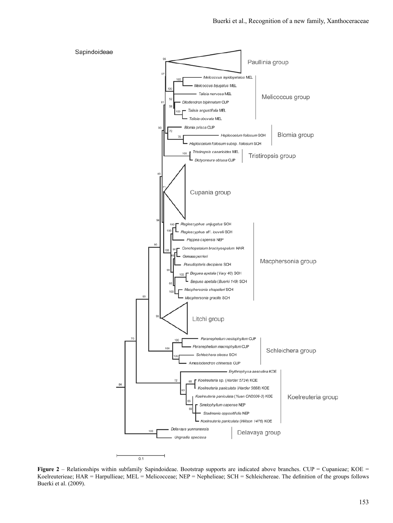

Figure  $2$  – Relationships within subfamily Sapindoideae. Bootstrap supports are indicated above branches. CUP = Cupanieae; KOE = Koelreuterieae; HAR = Harpullieae; MEL = Melicocceae; NEP = Nephelieae; SCH = Schleichereae. The definition of the groups follows Buerki et al. (2009).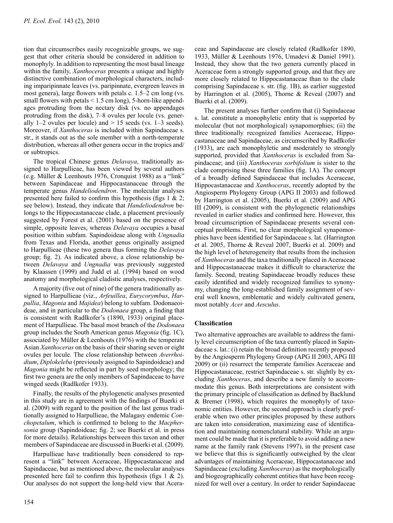tion that circumscribes easily recognizable groups, we suggest that other criteria should be considered in addition to monophyly. In addition to representing the most basal lineage within the family, *Xanthoceras* presents a unique and highly distinctive combination of morphological characters, including imparipinnate leaves (vs. paripinnate, evergreen leaves in most genera), large flowers with petals c. 1.5–2 cm long (vs. small flowers with petals  $\leq 1.5$  cm long), 5-horn-like appendages protruding from the nectary disk (vs. no appendages protruding from the disk), 7–8 ovules per locule (vs. generally 1–2 ovules per locule) and  $> 15$  seeds (vs. 1–3 seeds). Moreover, if *Xanthoceras* is included within Sapindaceae s. str., it stands out as the sole member with a north-temperate distribution, whereas all other genera occur in the tropics and/ or subtropics.

The tropical Chinese genus *Delavaya*, traditionally assigned to Harpullieae, has been viewed by several authors (e.g. Müller & Leenhouts 1976, Cronquist 1988) as a "link" between Sapindaceae and Hippocastanaceae through the temperate genus Handeliodendron. The molecular analyses presented here failed to confirm this hypothesis (figs  $1 \& 2$ ; see below). Instead, they indicate that *Handeliodendron* belongs to the Hippocastanaceae clade, a placement previously suggested by Forest et al. (2001) based on the presence of simple, opposite leaves, whereas Delavaya occupies a basal position within subfam. Sapindoideae along with Ungnadia from Texas and Florida, another genus originally assigned to Harpullieae (these two genera thus forming the Delavaya group; fig. 2). As indicated above, a close relationship between *Delavaya* and *Ungnadia* was previously suggested by Klaassen (1999) and Judd et al. (1994) based on wood anatomy and morphological cladistic analyses, respectively.

A majority (five out of nine) of the genera traditionally assigned to Harpullieae (viz., Arfeuillea, Eurycorymbus, Harpullia, Magonia and Majidea) belong to subfam. Dodonaeoideae, and in particular to the *Dodonaea* group, a finding that is consistent with Radlkofer's (1890, 1933) original placement of Harpullieae. The basal most branch of the *Dodonaea* group includes the South American genus Magonia (fig. 1C), associated by Müller  $&$  Leenhouts (1976) with the temperate Asian Xanthoceras on the basis of their sharing seven or eight ovules per locule. The close relationship between Averrhoi*dium, Diplokeleba* (previously assigned to Sapindoideae) and Magonia might be reflected in part by seed morphology; the first two genera are the only members of Sapindaceae to have winged seeds (Radlkofer 1933).

Finally, the results of the phylogenetic analyses presented in this study are in agreement with the findings of Buerki et al. (2009) with regard to the position of the last genus traditionally assigned to Harpullieae, the Malagasy endemic Con*chopetalum*, which is confirmed to belong to the *Macpher*sonia group (Sapindoideae; fig. 2; see Buerki et al. in press for more details). Relationships between this taxon and other members of Sapindaceae are discussed in Buerki et al. (2009).

Harpullieae have traditionally been considered to represent a "link" between Aceraceae, Hippocastanaceae and Sapindaceae, but as mentioned above, the molecular analyses presented here fail to confirm this hypothesis (figs  $1 \& 2$ ). Our analyses do not support the long-held view that Aceraceae and Sapindaceae are closely related (Radlkofer 1890, 1933, Müller & Leenhouts 1976, Umadevi & Daniel 1991). Instead, they show that the two genera currently placed in Aceraceae form a strongly supported group, and that they are more closely related to Hippocastanaceae than to the clade comprising Sapindaceae s. str. (fig. 1B), as earlier suggested by Harrington et al. (2005), Thorne & Reveal (2007) and Buerki et al. (2009).

The present analyses further confirm that (i) Sapindaceae s. lat. constitute a monophyletic entity that is supported by molecular (but not morphological) synapomorphies; (ii) the three traditionally recognized families Aceraceae, Hippocastanaceae and Sapindaceae, as circumscribed by Radlkofer (1933), are each monophyletic and moderately to strongly supported, provided that Xanthoceras is excluded from Sapindaceae; and (iii) Xanthoceras sorbifolium is sister to the clade comprising these three families (fig. 1A). The concept of a broadly defined Sapindaceae that includes Aceraceae, Hippocastanaceae and Xanthoceras, recently adopted by the Angiosperm Phylogeny Group (APG II 2003) and followed by Harrington et al. (2005), Buerki et al. (2009) and APG III (2009), is consistent with the phylogenetic relationships revealed in earlier studies and confirmed here. However, this broad circumscription of Sapindaceae presents several conceptual problems. First, no clear morphological synapomorphies have been identified for Sapindaceae s. lat. (Harrington et al. 2005, Thorne & Reveal 2007, Buerki et al. 2009) and the high level of heterogeneity that results from the inclusion of Xanthoceras and the taxa traditionally placed in Aceraceae and Hippocastanaceae makes it difficult to characterize the family. Second, treating Sapindaceae broadly reduces these easily identified and widely recognized families to synonymy, changing the long-established family assignment of several well known, emblematic and widely cultivated genera, most notably Acer and Aesculus.

# **Classification**

Two alternative approaches are available to address the family level circumscription of the taxa currently placed in Sapindaceae s. lat.: (i) retain the broad definition recently proposed by the Angiosperm Phylogeny Group (APG II 2003, APG III 2009) or (ii) resurrect the temperate families Aceraceae and Hippocastanaceae, restrict Sapindaceae s. str. slightly by excluding *Xanthoceras*, and describe a new family to accommodate this genus. Both interpretations are consistent with the primary principle of classification as defined by Backlund & Bremer (1998), which requires the monophyly of taxonomic entities. However, the second approach is clearly preferable when two other principles proposed by these authors are taken into consideration, maximizing ease of identification and maintaining nomenclatural stability. While an argument could be made that it is preferable to avoid adding a new name at the family rank (Stevens 1997), in the present case we believe that this is significantly outweighed by the clear advantages of maintaining Aceraceae, Hippocastanaceae and Sapindaceae (excluding Xanthoceras) as the morphologically and biogeographically coherent entities that have been recognized for well over a century. In order to render Sapindaceae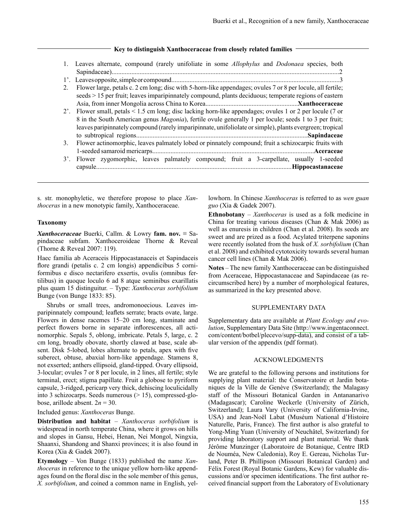## Key to distinguish Xanthoceraceae from closely related families

| Flower large, petals c. 2 cm long; disc with 5-horn-like appendages; ovules 7 or 8 per locule, all fertile;<br>$2_{1}$ |                  |
|------------------------------------------------------------------------------------------------------------------------|------------------|
| seeds > 15 per fruit; leaves imparipinnately compound, plants deciduous; temperate regions of eastern                  |                  |
|                                                                                                                        |                  |
| Flower small, petals < 1.5 cm long; disc lacking horn-like appendages; ovules 1 or 2 per locule (7 or<br>$2^\circ$ .   |                  |
| 8 in the South American genus <i>Magonia</i> ), fertile ovule generally 1 per locule; seeds 1 to 3 per fruit;          |                  |
| leaves paripinnately compound (rarely imparipinnate, unifoliolate or simple), plants evergreen; tropical               |                  |
|                                                                                                                        | .Sapindaceae     |
| Flower actinomorphic, leaves palmately lobed or pinnately compound; fruit a schizocarpic fruits with<br>3.             |                  |
|                                                                                                                        | <b>Aceraceae</b> |
| Flower zygomorphic, leaves palmately compound; fruit a 3-carpellate, usually 1-seeded<br>$3^\circ$ .                   |                  |
|                                                                                                                        |                  |

s. str. monophyletic, we therefore propose to place Xan*thoceras* in a new monotypic family, Xanthoceraceae.

## **Taxonomy**

*Xanthoceraceae* Buerki, Callm. & Lowry fam. nov.  $\equiv$  Sapindaceae subfam. Xanthoceroideae Thorne & Reveal (Thorne & Reveal 2007: 119).

Haec familia ab Aceraceis Hippocastanaceis et Sapindaceis flore grandi (petalis c. 2 cm longis) appendicibus 5 corniformibus e disco nectarifero exsertis, ovulis (omnibus fertilibus) in quoque loculo 6 ad 8 atque seminibus exarillatis plus quam 15 distinguitur. - Type: Xanthoceras sorbifolium Bunge (von Bunge 1833: 85).

Shrubs or small trees, andromonoecious. Leaves imparipinnately compound; leaflets serrate; bracts ovate, large. Flowers in dense racemes 15–20 cm long, staminate and perfect flowers borne in separate inflorescences, all actinomorphic. Sepals 5, oblong, imbricate. Petals 5, large, c. 2 cm long, broadly obovate, shortly clawed at base, scale absent. Disk 5-lobed, lobes alternate to petals, apex with five suberect, obtuse, abaxial horn-like appendage. Stamens 8, not exserted; anthers ellipsoid, gland-tipped. Ovary ellipsoid, 3-locular; ovules 7 or 8 per locule, in 2 lines, all fertile; style terminal, erect; stigma papillate. Fruit a globose to pyriform capsule, 3-ridged, pericarp very thick, dehiscing loculicidally into 3 schizocarps. Seeds numerous  $(> 15)$ , compressed-globose, arillode absent.  $2n = 30$ .

## Included genus: Xanthoceras Bunge.

Distribution and habitat  $-$  Xanthoceras sorbifolium is widespread in north temperate China, where it grows on hills and slopes in Gansu, Hebei, Henan, Nei Mongol, Ningxia, Shaanxi, Shandong and Shanxi provinces; it is also found in Korea (Xia & Gadek 2007).

**Etymology** – Von Bunge (1833) published the name *Xanthoceras* in reference to the unique yellow horn-like appendages found on the floral disc in the sole member of this genus, X. sorbifolium, and coined a common name in English, yel-

lowhorn. In Chinese Xanthoceras is referred to as wen guan *guo* (Xia & Gadek 2007).

**Ethnobotany** – Xanthoceras is used as a folk medicine in China for treating various diseases (Chan & Mak 2006) as well as enuresis in children (Chan et al. 2008). Its seeds are sweet and are prized as a food. Acylated triterpene saponins were recently isolated from the husk of X. sorbifolium (Chan et al. 2008) and exhibited cytotoxicity towards several human cancer cell lines (Chan & Mak 2006).

Notes – The new family Xanthoceraceae can be distinguished from Aceraceae, Hippocastanaceae and Sapindaceae (as recircumscribed here) by a number of morphological features, as summarized in the key presented above.

## **SUPPLEMENTARY DATA**

Supplementary data are available at *Plant Ecology and evolution*, Supplementary Data Site (http://www.ingentaconnect. com/content/botbel/plecevo/supp-data), and consist of a tabular version of the appendix (pdf format).

# **ACKNOWLEDGMENTS**

We are grateful to the following persons and institutions for supplying plant material: the Conservatoire et Jardin botaniques de la Ville de Genève (Switzerland); the Malagasy staff of the Missouri Botanical Garden in Antananarivo (Madagascar); Caroline Weckerle (University of Zürich, Switzerland); Laura Vary (University of California-Irvine, USA) and Jean-Noël Labat (Muséum National d'Histoire Naturelle, Paris, France). The first author is also grateful to Yong-Ming Yuan (University of Neuchâtel, Switzerland) for providing laboratory support and plant material. We thank Jérôme Munzinger (Laboratoire de Botanique, Centre IRD de Nouméa, New Caledonia), Roy E. Gereau, Nicholas Turland, Peter B. Phillipson (Missouri Botanical Garden) and Félix Forest (Royal Botanic Gardens, Kew) for valuable discussions and/or specimen identifications. The first author received financial support from the Laboratory of Evolutionary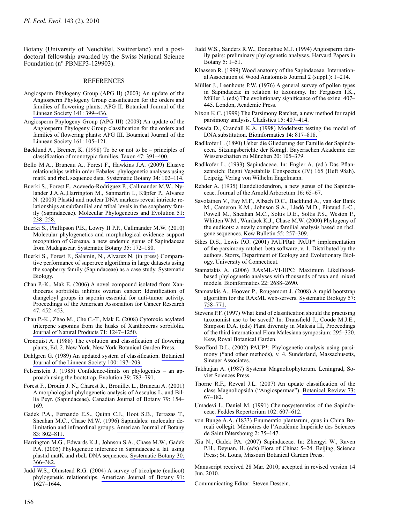Botany (University of Neuchâtel, Switzerland) and a postdoctoral fellowship awarded by the Swiss National Science Foundation (n° PBNEP3-129903).

## **REFERENCES**

- Angiosperm Phylogeny Group (APG II) (2003) An update of the Angiosperm Phylogeny Group classification for the orders and families of flowering plants: APG II. Botanical Journal of the Linnean Society 141: 399-436.
- Angiosperm Phylogeny Group (APG III) (2009) An update of the Angiosperm Phylogeny Group classification for the orders and families of flowering plants: APG III. Botanical Journal of the Linnean Society 161: 105-121.
- Backlund A., Bremer, K. (1998) To be or not to be principles of classification of monotypic families. Taxon 47: 391-400.
- Bello M.A., Bruneau A., Forest F., Hawkins J.A. (2009) Elusive relationships within order Fabales: phylogenetic analyses using matK and rbcL sequence data. Systematic Botany 34: 102-114.
- Buerki S., Forest F., Acevedo-Rodríguez P., Callmander M.W., Nylander J.A.A., Harrington M., Sanmartín I., Küpfer P., Alvarez N. (2009) Plastid and nuclear DNA markers reveal intricate relationships at subfamilial and tribal levels in the soapberry family (Sapindaceae). Molecular Phylogenetics and Evolution 51: 238-258.
- Buerki S., Phillipson P.B., Lowry II P.P., Callmander M.W. (2010) Molecular phylogenetics and morphological evidence support recognition of Gereaua, a new endemic genus of Sapindaceae from Madagascar. Systematic Botany 35: 172-180.
- Buerki S., Forest F., Salamin, N., Alvarez N. (in press) Comparative performance of supertree algorithms in large datasets using the soapberry family (Sapindaceae) as a case study. Systematic Biology.
- Chan P.-K., Mak E. (2006) A novel compound isolated from Xanthoceras sorbifolia inhibits ovarian cancer: Identification of diangeloyl groups in saponin essential for anti-tumor activity. Proceedings of the American Association for Cancer Research 47: 452-453.
- Chan P.-K., Zhao M., Che C.-T., Mak E. (2008) Cytotoxic acylated triterpene saponins from the husks of Xanthoceras sorbifolia. Journal of Natural Products 71: 1247-1250.
- Cronquist A. (1988) The evolution and classification of flowering plants, Ed. 2. New York, New York Botanical Garden Press.
- Dahlgren G. (1989) An updated system of classification. Botanical Journal of the Linnean Society 100: 197-203.
- Felsenstein J. (1985) Confidence-limits on phylogenies an approach using the bootstrap. Evolution 39: 783-791.
- Forest F., Drouin J. N., Charest R., Brouillet L., Bruneau A. (2001) A morphological phylogenetic analysis of Aesculus L. and Billia Peyr. (Sapindaceae). Canadian Journal of Botany 79: 154-169.
- Gadek P.A., Fernando E.S., Quinn C.J., Hoot S.B., Terrazas T., Sheahan M.C., Chase M.W. (1996) Sapindales: molecular delimitation and infraordinal groups. American Journal of Botany 83: 802-811.
- Harrington M.G., Edwards K.J., Johnson S.A., Chase M.W., Gadek P.A. (2005) Phylogenetic inference in Sapindaceae s. lat. using plastid matK and rbcL DNA sequences. Systematic Botany 30: 366-382.
- Judd W.S., Olmstead R.G. (2004) A survey of tricolpate (eudicot) phylogenetic relationships. American Journal of Botany 91: 1627-1644.
- Judd W.S., Sanders R.W., Donoghue M.J. (1994) Angiosperm family pairs: preliminary phylogenetic analyses. Harvard Papers in Botany 5: 1-51.
- Klaassen R. (1999) Wood anatomy of the Sapindaceae. International Association of Wood Anatomists Journal 2 (suppl.): 1-214.
- Müller J., Leenhouts P.W. (1976) A general survey of pollen types in Sapindaceae in relation to taxonomy. In: Ferguson I.K., Müller J. (eds) The evolutionary significance of the exine: 407-445. London, Academic Press.
- Nixon K.C. (1999) The Parsimony Ratchet, a new method for rapid parsimony analysis. Cladistics 15: 407-414.
- Posada D., Crandall K.A. (1998) Modeltest: testing the model of DNA substitution. Bioinformatics 14: 817-818.
- Radlkofer L. (1890) Ueber die Gliederung der Familie der Sapindaceen. Sitzungsberichte der Königl. Bayerischen Akademie der Wissenschaften zu München 20: 105-379.
- Radlkofer L. (1933) Sapindaceae. In: Engler A. (ed.) Das Pflanzenreich: Regni Vegetabilis Conspectus (IV) 165 (Heft 98ah). Leipzig, Verlag von Wilhelm Engelmann.
- Rehder A. (1935) Handeliodendron, a new genus of the Sapindaceae. Journal of the Arnold Arboretum 16: 65-67.
- Savolainen V., Fay M.F., Albach D.C., Backlund A., van der Bank M., Cameron K.M., Johnson S.A., Lledó M.D., Pintaud J.-C., Powell M., Sheahan M.C., Soltis D.E., Soltis P.S., Weston P., Whitten W.M., Wurdack K.J., Chase M.W. (2000) Phylogeny of the eudicots: a newly complete familial analysis based on rbcL gene sequences. Kew Bulletin 55: 257–309.
- Sikes D.S., Lewis P.O. (2001) PAUPRat: PAUP\* implementation of the parsimony ratchet. beta software, v. 1. Distributed by the authors. Storrs, Department of Ecology and Evolutionary Biology, University of Connecticut.
- Stamatakis A. (2006) RAxML-VI-HPC: Maximum Likelihoodbased phylogenetic analyses with thousands of taxa and mixed models. Bioinformatics 22: 2688-2690.
- Stamatakis A., Hoover P., Rougemont J. (2008) A rapid bootstrap algorithm for the RAxML web-servers. Systematic Biology 57: 758-771.
- Stevens P.F. (1997) What kind of classification should the practising taxonomist use to be saved? In: Dransfield J., Coode M.J.E., Simpson D.A. (eds) Plant diversity in Malesia III, Proceedings of the third international Flora Malesiana symposium: 295–320. Kew, Royal Botanical Garden.
- Swofford D.L. (2002) PAUP\*: Phylogenetic analysis using parsimony (\*and other methods), v. 4. Sunderland, Massachusetts, Sinauer Associates.
- Takhtajan A. (1987) Systema Magnoliophytorum. Leningrad, Soviet Sciences Press.
- Thorne R.F., Reveal J.L. (2007) An update classification of the class Magnoliopsida ("Angiospermae"). Botanical Review 73:  $67 - 182$
- Umadevi I., Daniel M. (1991) Chemosystematics of the Sapindaceae. Feddes Repertorium 102: 607-612.
- von Bunge A.A. (1833) Enumeratio plantarum, quas in China Boreali collegit. Mémoires de l'Académie Impériale des Sciences de Saint Pétersbourg 2: 75–147.
- Xia N., Gadek PA. (2007) Sapindaceae. In: Zhengyi W., Raven P.H., Deyuan, H. (eds) Flora of China: 5-24. Beijing, Science Press; St. Louis, Missouri Botanical Garden Press.

Manuscript received 28 Mar. 2010; accepted in revised version 14 Jun. 2010.

Communicating Editor: Steven Dessein.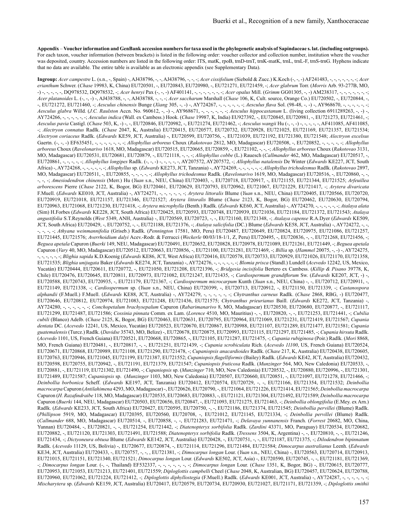Appendix - Voucher information and GenBank accession numbers for taxa used in the phylogenetic analysis of Sapindaceae s. lat. (including outgroups). For each taxon, voucher information (between brackets) is listed in the following order: voucher collector and collection number, institution where the voucher was deposited, country. Accession numbers are listed in the following order: ITS, matK, rpoB, trnD-trnT, trnK-matK, trnL, trnL-F, trnS-trnG. Hyphens indicate that no data are available. The entire table is available as an electronic appendix (see Supplementary Data).

Ingroup: Acer campestre L. (s.n., -, Spain) -, AJ438796, -, -, AJ438796, -, -, -; Acer cissifolium (Siebold & Zucc.) K.Koch (-, -, -) AF241483, -, -, -, -, -, -, -; Acer erianthum Schwer. (Chase 19983, K, China) EU720501, -, EU720843, EU720980, -, EU721271, EU721459, -; Acer glabrum Torr. (Morris Arb. 93-277B, MO, Acer platanoides L. (-, -, -) -, AJ438788, -, -, AJ438788, -, -, -; Acer saccharum Marshall (Chase 106, K, Cult. source, Orange Co.) EU720502, -, EU720844, -, Aesculus glabra Willd. (J.C. Raulston Accn. No. 960612, -, -) -, AY968671, -, -, -, -, -, -; Aesculus hippocastanum L. (living collection 6911289263, -, -) -, AY724266, -, -, -, -, -, -; Aesculus indica (Wall. ex Cambess.) Hook. (Chase 19987, K, India) EU927392, -, EU720845, EU720981, -, EU721273, EU721461, -; Aesculus pavia Castigl. (Chase 503, K, -) -, -, EU720846, EU720982, -, EU721274, EU721462, -; Aesculus wangii Hu (-, -, -) -, -, -, -, -, -, AF411085, AF411085, -; Alectryon connatus Radlk. (Chase 2047, K, Australia) EU720415, EU720577, EU720732, EU720928, EU721025, EU721169, EU721357, EU721534; Alectryon coriaceus Radlk. (Edwards KE59, JCT, Australia) -, EU720599, EU720756, -, EU721039, EU721192, EU721380, EU721548; Alectryon excelsus Gaertn. (-, -, -) EF635451, -, -, -, -, -, -, -; Allophyllus arboreus Choux (Rakotovao 2812, MO, Madagascar) EU720508, -, EU720852, -, -, -, -, -; Allophyllus arboreus Choux (Ravelonarivo 1618, MO, Madagascar) EU720515, EU720665, EU720859, -, EU721102, -, -, -; Allophyllus arboreus Choux (Rakotovao 3131, MO, Madagascar) EU720531, EU720681, EU720879, -, EU721118, -, -, -; Allophyllus cobbe (L.) Rauesch (Callmander 462, MO, Madagascar) EU720517, -, EU720861, -, -, -, -, -; Allophyllus longipes Radlk. (-, -, -) -, -, -, -, -, AY207572, AY207572, -; Allophyllus natalensis De Winter (Edwards KE227, JCT, South Africa) -, AY724268, -, -, -, -, -; Allophyllus sp. (Edwards KE273, JCT, Tanzania) -, AY724269, -, -, -, -, -, -; Allophyllus trichodesmus Radlk. (Rakotovao 2897, MO, Madagascar) EU720511, -, EU720855, -, -, -, -, -, Allophyllus trichodesmus Radlk. (Ravelonarivo 1619, MO, Madagascar) EU720516, -, EU720860, -, -, -, -, -; Amesiodendron chinensis (Merr.) Hu (Yuan s.n., NEU, China) EU720403, -, EU720718, EU720917, -, EU721155, EU721344, EU721525; Arfeuillea arborescens Pierre (Chase 2122, K, Bogor, BG) EU720461, EU720629, EU720793, EU720962, EU721067, EU721229, EU721417, -; Arvtera divaricata F.Muell. (Edwards KE010, JCT, Australia) -, AY724271, -, -, -, -, -, -; Arytera littoralis Blume (Yuan s.n., NEU, China) EU720405, EU720566, EU720720, EU720919, EU721018, EU721157, EU721346, EU721527; Arytera littoralis Blume (Chase 2123, K, Bogor, BG) EU720462, EU720630, EU720794, EU720963, EU721068, EU721230, EU721418, -; Arytera microphylla (Benth.) Radlk. (Edwards KE60, JCT, Australia) -, AY724270, -, -, -, -, -, -, -; Atalaya alata (Sim) H.Forbes (Edwards KE228, JCT, South Africa) EU720425, EU720593, EU720748, EU720939, EU721036, EU721184, EU721372, EU721543; Atalaya angustifolia S.T.Reynolds (West 5349, ANH, Australia) -, EU720569, EU720723, -, -, EU721160, EU721348, -; Atalaya capense R.A.Dyer (Edwards KE509, JCT, South Africa) EU720429, -, EU720752, -, -, EU721188, EU721376, -; Atalaya salicifolia (DC.) Blume (Edwards KE58, JCT, Australia) -, AY724272, -, -, -, -, -; -; Athyana weinmannifolia (Griseb.) Radlk. (Pennington 17581, MO, Peru) EU720487, EU720649, EU720824, EU720975, EU721086, EU721257, EU721445, EU721576; Averrhoidium dalvi Acev.-Rodr. & Ferrucci (Weckerle 00/03/18-1/1, Z, Peru) EU720495, -, EU720836, -, -, EU721268, EU721456, -; Beguea apetala Capuron (Buerki 149, NEU, Madagascar) EU720491, EU720652, EU720828, EU720978, EU721089, EU721261, EU721449, -; Beguea apetala Capuron (Vary 40, MO, Madagascar) EU720512, EU720663, EU720856, -, EU721100, EU721281, EU721469, -; Billia sp. (Hammel 20075, -, -) -, AY724275, -, -, -, -, -, -; Blighia sapida K.D.Koenig (Edwards KE86, JCT, West Africa) EU720416, EU720578, EU720733, EU720929, EU721026, EU721170, EU721358, EU721535; Blighia unijugata Baker (Edwards KE274, JCT, Tanzania) -, AY724276, -, -, -, -, -, -; Blomia prisca (Standl.) Lundell (Acevedo 12242, US, Mexico, Yucatán) EU720444, EU720611, EU720772, -, EU721050, EU721208, EU721396, -; Bridgesia incisifolia Bertero ex Cambess. (Killip & Pisano 39778, K, Chile) EU720476, EU720645, EU720811, EU720973, EU721082, EU721247, EU721435, -; Cardiospermum grandiflorum Sw. (Edwards KE207, JCT, -) -, EU720588, EU720743, EU720935, -, EU721179, EU721367, -; Cardiospermum microcarpum Kunth (Yuan s.n., NEU, China) -, -, EU720712, EU720911, -, EU721149, EU721338, -; Cardiospermum sp. (Yuan s.n., NEU, China) EU720399, -, EU720713, EU720912, -, EU721150, EU721339, -; Castanospora alphandii (F.Muell.) F.Muell. (Edwards KE88, JCT, Australia) -, AY724279, -, -, -, -, -, -; Chytranthus carneus Radlk. (Chase 2868, RBG, -) EU720477, EU720646, EU720812, EU720974, EU721083, EU721248, EU721436, EU721575; Chytranthus prieurianus Baill. (Edwards KE272, JCT, Tanzania) -, AY724280, -, -, -, -, -, -; Conchopetalum brachysepalum Capuron (Rabarimanarivo 8, MO, Madagascar) EU720530, EU720680, EU720877, -, EU721117, EU721299, EU721487, EU721586; Cossinia pinnata Comm. ex Lam. (Lorence 4510, MO, Mauritius) -, -, EU720820, -, -, EU721253, EU721441, -; Cubilia cubili (Blanco) Adelb. (Chase 2125, K, Bogor, BG) EU720463, EU720631, EU720795, EU720964, EU721069, EU721231, EU721419, EU721567; Cupania dentata DC. (Acevedo 12241, US, Mexico, Yucatán) EU720523, EU720670, EU720867, EU720988, EU721107, EU721289, EU721477, EU721581; Cupania guatemalensis (Turcz.) Radlk. (Davidse 35743, MO, Belize) -, EU720678, EU720875, EU720993, EU721115, EU721297, EU721485, -; Cupania hirsuta Radlk. (Acevedo 1101, US, French Guiana) EU720521, EU720668, EU720865, -, EU721105, EU721287, EU721475, -; Cupania rubiginosa (Poir.) Radlk. (Mori 8868, MO, French Guiana) EU720481, -, EU720817, -, -, EU721251, EU721439, -; Cupania scrobiculata Rich. (Acevedo 11100, US, French Guiana) EU720524, EU720671, EU720868, EU720989, EU721108, EU721290, EU721478, -; Cupaniopsis anacardioides Radlk. (Chase 217, K, Australia) EU720438, EU720605, EU720763, EU720946, EU721045, EU721199, EU721387, EU721552; Cupaniopsis flagelliformis (Bailey) Radlk. (Edwards KE42, JCT, Australia) EU720432, EU720598, EU720755, EU720942, -, EU721191, EU721379, EU721547; Cupaniopsis fruticosa Radlk. (Munzinger 564, MO, New Caledonia) EU720533, -, EU720881, -, EU721119, EU721302, EU721490, -; Cupaniopsis sp. (Munzinger 710, MO, New Caledonia) EU720532, -, EU720880, EU720996, -, EU721301, EU721489, EU721587; Cupaniopsis sp. (Munzinger 1103, MO, New Caledonia) EU720507, EU720660, EU720851, -, EU721097, EU721278, EU721466, -; Deinbollia borbonica Scheff. (Edwards KE197, JCT, Tanzania) EU720412, EU720574, EU720729, -, -, EU721166, EU721354, EU721532; Deinbollia macrocarpa Capuron (Antilahimena 4293, MO, Madagascar) -, EU720626, EU720790, -, EU721064, EU721226, EU721414, EU721565; Deinbollia macrocarpa Capuron (H. Razafindraibe 118, MO, Madagascar) EU720535, EU720683, EU720883, -, EU721121, EU721304, EU721492, EU721589; Deinbollia macrocarpa Capuron (Buerki 144, NEU, Madagascar) EU720503, EU720656, EU720847, -, EU721093, EU721275, EU721463, -; Deinbollia oblongifolia (E.Mey. ex Arn.) Radlk. (Edwards KE233, JCT, South Africa) EU720427, EU720595, EU720750, -, -, EU721186, EU721374, EU721545; Deinbollia pervillei (Blume) Radlk. (Phillipson 5919, MO, Madagascar) EU720395, EU720560, EU720708, -, EU721012, EU721145, EU721334, -; Deinbollia pervillei (Blume) Radlk. (Callmander 688, MO, Madagascar) EU720514, -, EU720858, -, -, EU721283, EU721471, -; Delavaya yunnanensis Franch. (Forrest 20682, MO, China, Yunnan) EU720484, -, EU720821, -, -, EU721254, EU721442, -; Diatenopteryx sorbifolia Radlk. (Zardini 43371, MO, Paraguay) EU720534, EU720682, EU720882, -, EU721120, EU721303, EU721491, EU721588; Diatenopteryx sorbifolia Radlk. (Tressens 3504, K, Argentina) -, -, EU720810, -, -, EU721246, EU721434, -; Dictyoneura obtusa Blume (Edwards KE142, JCT, Australia) EU720428, -, EU720751, -, -, EU721187, EU721375, -; Dilodendron bipinnatum Radlk. (Acevedo 11129, US, Bolivia) -, EU720677, EU720874, -, EU721114, EU721296, EU721484, EU721584; Dimocarpus australianus Leenh. (Edwards KE34, JCT, Australia) EU720433, -, EU720757, -, -, , EU721381, -; Dimocarpus longan Lour. (Yuan s.n., NEU, China) -, EU720563, EU720714, EU720913, EU721015, EU721151, EU721340, EU721521; Dimocarpus longan Lour. (Edwards KE502, JCT, Asia) -, EU720590, EU720745, -, -, EU721181, EU721369, -; Dimocarpus longan Lour. (-, -, Thailand) EF532337, -, -, -, -, -, -, -; Dimocarpus longan Lour. (Chase 1351, K, Bogor, BG) -, EU720615, EU720777, EU720953, EU721053, EU721213, EU721401, EU721559; Diploglottis campbelli Cheel (Chase 2048, K, Australian, BG) EU720457, EU720624, EU720788, EU720960, EU721062, EU721224, EU721412, -; Diploglottis diphyllostegia (F.Muell.) Radlk. (Edwards KE001, JCT, Australia) -, AY724287, -, -, -, -, -, -; -; -; Mischarytera sp. (Edwards KE159, JCT, Australia) EU720417, EU720579, EU720734, EU720930, EU721027, EU721171, EU721359, -; Diploglottis smithii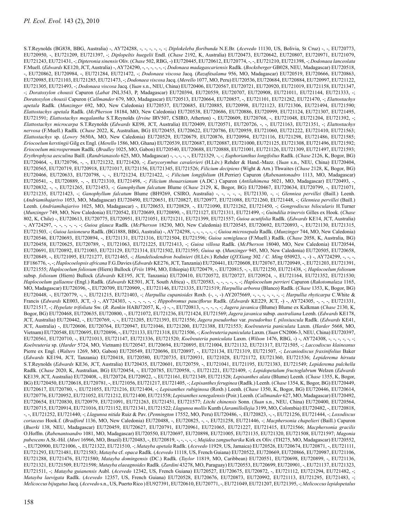S.T.Reynolds (BG838, BBG, Australia) -, AY724288, -, -, -, -, -, -; Diplokeleba floribunda N.E.Br. (Acevedo 11130, US, Bolivia, St Cruz) -, -, EU720773, EU720950, -, EU721209, EU721397, -; Diplopeltis huegelii Endl. (Chase 2192, K, Australia) EU720473, EU720642, EU720807, EU720971, EU721079, EU721243, EU721431, -; Dipteronia sinensis Oliv. (Chase 502, RBG, -) EU720445, EU720612, EU720774, -, -, EU721210, EU721398, -; Dodonaea lanceolata F.Muell. (Edwards KE120, JCT, Australia) -, AY724290, -, -, -, -, -, -, Dodonaea madagascariensis Radlk. (Bocksberger GB028, NEU, Madagascar) EU720518, -, EU720862, EU720984, -, EU721284, EU721472, -; Dodonaea viscosa Jacq. (Razafitsalama 956, MO, Madagascar) EU720519, EU720666, EU720863, EU720985, EU721103, EU721285, EU721473, -; Dodonaea viscosa Jacq. (Merello 1077, MO, Peru) EU720536, EU720684, EU720884, EU720997, EU721122, EU721305, EU721493, -; Dodonaea viscosa Jacq. (Yuan s.n., NEU, China) EU720406, EU720567, EU720721, EU720920, EU721019, EU721158, EU721347, -; Doratoxylon chouxii Capuron (Labat JNL3543, P, Madagascar) EU720394, EU720559, EU720707, EU720908, EU721011, EU721144, EU721333, -; Doratoxylon chouxii Capuron (Callmander 679, MO, Madagascar) EU720513, EU720664, EU720857, -, EU721101, EU721282, EU721470, -; Elattostachys apetala Radlk. (Munzinger 692, MO, New Caledonia) EU720537, EU720685, EU720885, EU720998, EU721123, EU721306, EU721494, EU721590; Elattostachys apetala Radlk. (McPherson 18184, MO, New Caledonia) EU720538, EU720686, EU720886, EU720999, EU721124, EU721307, EU721495, EU721591; Elattostachys megalantha S.T.Reynolds (Irvine IRV507, CSIRO, Atherton) -, EU720609, EU720768, -, EU721048, EU721204, EU721392, -; Elattostachys microcarpa S.T.Reynolds (Edwards KE98, JCT, Australia) EU720409, EU720571, EU720726, -, -, EU721163, EU721351, -; Elattostachys nervosa (F.Muell.) Radlk. (Chase 2022, K, Australian, BG) EU720455, EU720622, EU720786, EU720959, EU721060, EU721222, EU721410, EU721563; Elattostachys sp. (Lowry 5650A, MO, New Caledonia) EU720529, EU720679, EU720876, EU720994, EU721116, EU721298, EU721486, EU721585; Eriocoelum kerstingii Gilg ex Engl. (Merello 1586, MO, Ghana) EU720539, EU720687, EU720887, EU721000, EU721125, EU721308, EU721496, EU721592; Eriocoelum microspermum Radlk. (Bradley 1025, MO, Gabon) EU720540, EU720688, EU720888, EU721001, EU721126, EU721309, EU721497, EU721593; Erythrophysa aesculina Baill. (Randrianasolo 625, MO, Madagascar) -, -, -, -, -, EU721329, -, -; Euphorianthus longifolius Radlk. (Chase 2126, K, Bogor, BG) EU720464, -, EU720796, -, -, EU721232, EU721420, -; Eurycorymbus cavalerieri (H.Lév.) Rehder & Hand.-Mazz. (Yuan s.n., NEU, China) EU720404, EU720565, EU720719, EU720918, EU721017, EU721156, EU721345, EU721526; Filicium decipiens (Wight & Arn.) Thwaites (Chase 2128, K, Bogor, BG) EU720466, EU720633, EU720798, -, -, EU721234, EU721422, -; Filicium longifolium (H.Perrier) Capuron (Rabenantonadro 1113, MO, Madagascar) EU720541, -, EU720889, -, -, EU721310, EU721498, -; Filicium thouarsianum (A.DC.) Capuron (Antilahimena 5021, MO, Madagascar) EU720493, -, EU720832, -, -, EU721265, EU721453, -; Ganophyllum falcatum Blume (Chase 2129, K, Bogor, BG) EU720467, EU720634, EU720799, -, EU721071, EU721235, EU721423, -; Ganophyllum falcatum Blume (BH9269, CSIRO, Australia) -, -, -, -, EU721330, -, -; Glenniea pervillei (Baill.) Leenh. (Andriamihajarivo 1053, MO, Madagascar) EU720490, EU720651, EU720827, EU720977, EU721088, EU721260, EU721448, -; Glenniea pervillei (Baill.) Leenh. (Andriamihajarivo 1025, MO, Madagascar) -, EU720653, EU720829, -, EU721090, EU721262, EU721450, -; Gongrodiscus bilocularis H.Turner (Munzinger 749, MO, New Caledonia) EU720542, EU720689, EU720890, -, EU721127, EU721311, EU721499, -; Guindilia trinervis Gilles ex Hook. (Chase 802, K, Chile) -, EU720613, EU720775, EU720951, EU721051, EU721211, EU721399, EU721557; Guioa acutifolia Radlk. (Edwards KE14, JCT, Australia) -, AY724297, -, -, -, -, -, -; Guioa glauca Radlk. (McPherson 18230, MO, New Caledonia) EU720545, EU720692, EU720893, -, EU721130, EU721315, EU721503, -; Guioa lasioneura Radlk. (BG1888, BBG, Australia) -, AY724298, -, -, -, -, -, -; Guioa microsepala Radlk. (Munzinger 744, MO, New Caledonia) EU720546, EU720693, EU720894, -, EU721131, EU721316, EU721504, EU721596; Guioa semiglauca (F.Muell.) Radlk. (Chase 2058, K, Australia, BG) EU720458, EU720625, EU720789, -, EU721063, EU721225, EU721413, -; Guioa villosa Radlk. (McPherson 18040, MO, New Caledonia) EU720544, EU720691, EU720892, EU721003, EU721129, EU721314, EU721502, EU721595; Guioa sp. (Munzinger 945, MO, New Caledonia) EU720505, EU720658, EU720849, -, EU721095, EU721277, EU721465, -; Handeliodendron bodinieri (H.Lév.) Rehder (QYXiang 302 / C. Ming 050923, -, -) -, AY724299, -, -, -, EF186776, -, -; Haplocoelopsis africana F.G.Davies (Edwards KE276, JCT, Tanzania) EU720441, EU720608, EU720767, EU720949, -, EU721203, EU721391, EU721555; Haplocoelum foliosum (Hiern) Bullock (Friis 1894, MO, Ethiopia) EU720479, -, EU720815, -, -, EU721250, EU721438, -; Haplocoelum foliosum subsp. foliosum (Hiern) Bullock (Edwards KE195, JCT, Tanzania) EU720410, EU720572, EU720727, EU720924, -, EU721164, EU721352, EU721530; Haplocoelum gallaense (Engl.) Radlk. (Edwards KE501, JCT, South Africa) -, EU720583, -, -, -, -, -, -; Haplocoelum perrieri Capuron (Rakotomalaza 1165, MO, Madagascar) EU720396, -, EU720709, EU720909, -, EU721146, EU721335, EU721519; Harpullia arborea (Blanco) Radlk. (Chase 1353, K, Bogor, BG) EU720448, -, EU720779, -, -, EU721215, EU721403, -; Harpullia cupanioides Roxb. (-, -, -) AY2075669, -, -, -, -, -, -, -, -; Harpullia rhyticarpa C. White & Francis (Edwards KE003, JCT, -) -, AY724303, -, -, -, -, -, -; Hippobromus pauciflorus Radlk. (Edwards KE229, JCT, -) -, AY724305, -, -, -, EU721331, EU721517, -; Hypelate trifoliata Sw. (R. Rankin HABJ72057, K, -) -, -, EU720813, -, -, -, -, -; Jagera javanica (Blume) Blume ex Kalkman (Chase 2130, K, Bogor, BG) EU720468, EU720635, EU720800, -, EU721072, EU721236, EU721424, EU721569; Jagera javanica subsp. australiana Leenh. (Edwards KE178, JCT, Australia) EU720442, -, EU720769, -, -, EU721205, EU721393, EU721556; Jagera pseudorhus var. pseudorhus f. pilosiuscula Radlk. (Edwards KE41, JCT, Australia) -, EU720606, EU720764, EU720947, EU721046, EU721200, EU721388, EU721553; Koelreuteria paniculata Laxm. (Harder 5668, MO, Vietnam) EU720548, EU720695, EU720896, -, EU721133, EU721318, EU721506, -; Koelreuteria paniculata Laxm. (Yuan CN2006-3, NEU, China) EU720397, EU720561, EU720710, -, EU721013, EU721147, EU721336, EU721520; Koelreuteria paniculata Laxm. (Wilson 1476, RBG, -) -, AY724308, -, -, -, -, -, -; Koelreuteria sp. (Harder 5724, MO, Vietnam) EU720547, EU720694, EU720895, EU721004, EU721132, EU721317, EU721505, -; Laccodiscus klaineanus Pierre ex Engl. (Walters 1269, MO, Gabon) EU720549, EU720696, EU720897, -, EU721134, EU721319, EU721507, -; Lecaniodiscus fraxinifolius Baker (Edwards KE194, JCT, Tanzania) EU720418, EU720580, EU720735, EU720931, EU721028, EU721172, EU721360, EU721536; Lepiderema hirsuta S.T.Reynolds (Edwards KE36, JCT, Australia) EU720435, EU720601, EU720759, -, EU721041, EU721195, EU721383, EU721549; Lepiderema pulchella Radlk. (Chase 2020, K, Australian, BG) EU720454, -, EU720785, EU720958, -, EU721221, EU721409, -; Lepidopetalum fructoglabrum Welzen (Edwards KE139, JCT, Australia) EU720408, -, EU720724, EU720922, -, EU721161, EU721349, EU721528; Lepisanthes alata (Blume) Leenh. (Chase 1355, K, Bogor, BG) EU720450, EU720618, EU720781, -, EU721056, EU721217, EU721405, -; Lepisanthes feruginea (Radlk.) Leenh. (Chase 1354, K, Bogor, BG) EU720449, EU720617, EU720780, -, EU721055, EU721216, EU721404, -; Lepisanthes rubiginosa (Roxb.) Leenh. (Chase 1350, K, Bogor, BG) EU720446, EU720614, EU720776, EU720952, EU721052, EU721212, EU721400, EU721558; Lepisanthes senegalensis (Poir.) Leenh. (Callmander 627, MO, Madagascar) EU720492, EU720654, EU720830, EU720979, EU721091, EU721263, EU721451, EU721577; Litchi chinensis Sonn. (Yuan s.n., NEU, China) EU720400, EU720564, EU720715, EU720914, EU721016, EU721152, EU721341, EU721522; Llagunoa mollis Kunth (Jaramillollejia 3199, MO, Colombia) EU720482, -, EU720818, -, -, EU721252, EU721440, -; Llagunoa nitida Ruiz & Pav. (Pennington 17552, MO, Peru) EU720486, -, EU720823, -, -, EU721256, EU721444, -; Loxodiscus coriaceus Hook.f. (Bradford 1136, MO, New Caledonia) EU720488, -, EU720825, -, -, EU721258, EU721446, -; Macphersonia chapelieri (Baill.) Capuron (Buerki 138, NEU, Madagascar) EU720459, EU720627, EU720791, EU720961, EU721065, EU721227, EU721415, EU721566; Macphersonia gracilis O.Hoffm. (Rabenantoandro 1081, MO, Madagascar) EU720550, EU720697, EU720898, EU721005, EU721135, EU721320, EU721508, EU721597; Magonia pubescens A.St.-Hil. (Mori 16966, MO, Brazil) EU720483, -, EU720819, -, -, -, -, -; Majidea zanguebarika Kirk ex Oliv. (TH275, MO, Madagascar) EU720552, -, EU720900, EU721006, -, EU721322, EU721510, -; Matayba apetala Radlk. (Acevedo 11929, US, Jamaica) EU720526, EU720674, EU720871, -, EU721111, EU721293, EU721481, EU721583; Matayba cf. opaca Radlk. (Acevedo 11118, US, French Guiana) EU720522, EU720669, EU720866, EU720987, EU721106, EU721288, EU721476, EU721580; Matayba domingensis (DC.) Radlk. (Taylor 11819, MO, Caribbean) EU720551, EU720698, EU720899, -, EU721136, EU721321, EU721509, EU721598; Matayba elaeagnoides Radlk. (Zardini 43278, MO, Paraguay) EU720553, EU720699, EU720901, -, EU721137, EU721323, EU721511, -; Matayba guianensis Aubl. (Acevedo 12342, US, French Guiana) EU720527, EU720675, EU720872, -, EU721112, EU721294, EU721482, -; Matayba laevigata Radlk. (Acevedo 12357, US, French Guiana) EU720528, EU720676, EU720873, EU720992, EU721113, EU721295, EU721483, -; Melicoccus bijugatus Jacq. (Acevedo s.n., US, Puerto Rico) EU927391, EU720610, EU720771, -, EU721049, EU721207, EU721395, -; Melicoccus lepidopetalus